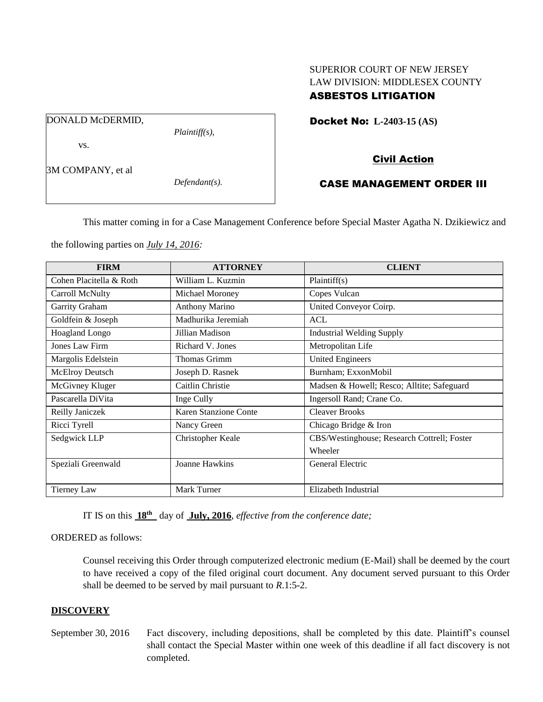# SUPERIOR COURT OF NEW JERSEY LAW DIVISION: MIDDLESEX COUNTY ASBESTOS LITIGATION

Docket No: **L-2403-15 (AS)** 

DONALD McDERMID,

vs.

*Plaintiff(s),*

Civil Action

# 3M COMPANY, et al

*Defendant(s).*

# CASE MANAGEMENT ORDER III

This matter coming in for a Case Management Conference before Special Master Agatha N. Dzikiewicz and

the following parties on *July 14, 2016:*

| <b>FIRM</b>             | <b>ATTORNEY</b>       | <b>CLIENT</b>                               |
|-------------------------|-----------------------|---------------------------------------------|
| Cohen Placitella & Roth | William L. Kuzmin     | Plaintiff(s)                                |
| Carroll McNulty         | Michael Moroney       | Copes Vulcan                                |
| Garrity Graham          | <b>Anthony Marino</b> | United Conveyor Coirp.                      |
| Goldfein & Joseph       | Madhurika Jeremiah    | <b>ACL</b>                                  |
| <b>Hoagland Longo</b>   | Jillian Madison       | <b>Industrial Welding Supply</b>            |
| <b>Jones Law Firm</b>   | Richard V. Jones      | Metropolitan Life                           |
| Margolis Edelstein      | Thomas Grimm          | <b>United Engineers</b>                     |
| <b>McElroy Deutsch</b>  | Joseph D. Rasnek      | Burnham; ExxonMobil                         |
| McGivney Kluger         | Caitlin Christie      | Madsen & Howell; Resco; Alltite; Safeguard  |
| Pascarella DiVita       | Inge Cully            | Ingersoll Rand; Crane Co.                   |
| Reilly Janiczek         | Karen Stanzione Conte | <b>Cleaver Brooks</b>                       |
| Ricci Tyrell            | Nancy Green           | Chicago Bridge & Iron                       |
| Sedgwick LLP            | Christopher Keale     | CBS/Westinghouse; Research Cottrell; Foster |
|                         |                       | Wheeler                                     |
| Speziali Greenwald      | Joanne Hawkins        | General Electric                            |
|                         |                       |                                             |
| <b>Tierney Law</b>      | Mark Turner           | Elizabeth Industrial                        |

IT IS on this **18th** day of **July, 2016**, *effective from the conference date;*

#### ORDERED as follows:

Counsel receiving this Order through computerized electronic medium (E-Mail) shall be deemed by the court to have received a copy of the filed original court document. Any document served pursuant to this Order shall be deemed to be served by mail pursuant to *R*.1:5-2.

#### **DISCOVERY**

September 30, 2016 Fact discovery, including depositions, shall be completed by this date. Plaintiff's counsel shall contact the Special Master within one week of this deadline if all fact discovery is not completed.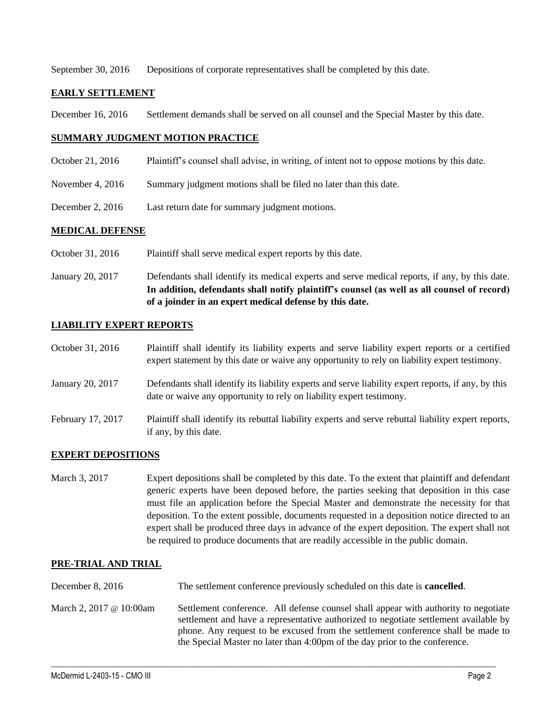September 30, 2016 Depositions of corporate representatives shall be completed by this date.

### **EARLY SETTLEMENT**

December 16, 2016 Settlement demands shall be served on all counsel and the Special Master by this date.

### **SUMMARY JUDGMENT MOTION PRACTICE**

- October 21, 2016 Plaintiff's counsel shall advise, in writing, of intent not to oppose motions by this date.
- November 4, 2016 Summary judgment motions shall be filed no later than this date.
- December 2, 2016 Last return date for summary judgment motions.

### **MEDICAL DEFENSE**

- October 31, 2016 Plaintiff shall serve medical expert reports by this date.
- January 20, 2017 Defendants shall identify its medical experts and serve medical reports, if any, by this date. **In addition, defendants shall notify plaintiff's counsel (as well as all counsel of record) of a joinder in an expert medical defense by this date.**

### **LIABILITY EXPERT REPORTS**

| October 31, 2016  | Plaintiff shall identify its liability experts and serve liability expert reports or a certified<br>expert statement by this date or waive any opportunity to rely on liability expert testimony. |
|-------------------|---------------------------------------------------------------------------------------------------------------------------------------------------------------------------------------------------|
| January 20, 2017  | Defendants shall identify its liability experts and serve liability expert reports, if any, by this<br>date or waive any opportunity to rely on liability expert testimony.                       |
| February 17, 2017 | Plaintiff shall identify its rebuttal liability experts and serve rebuttal liability expert reports,<br>if any, by this date.                                                                     |

## **EXPERT DEPOSITIONS**

March 3, 2017 Expert depositions shall be completed by this date. To the extent that plaintiff and defendant generic experts have been deposed before, the parties seeking that deposition in this case must file an application before the Special Master and demonstrate the necessity for that deposition. To the extent possible, documents requested in a deposition notice directed to an expert shall be produced three days in advance of the expert deposition. The expert shall not be required to produce documents that are readily accessible in the public domain.

## **PRE-TRIAL AND TRIAL**

December 8, 2016 The settlement conference previously scheduled on this date is **cancelled**. March 2, 2017 @ 10:00am Settlement conference. All defense counsel shall appear with authority to negotiate settlement and have a representative authorized to negotiate settlement available by phone. Any request to be excused from the settlement conference shall be made to the Special Master no later than 4:00pm of the day prior to the conference.

 $\_$  , and the set of the set of the set of the set of the set of the set of the set of the set of the set of the set of the set of the set of the set of the set of the set of the set of the set of the set of the set of th